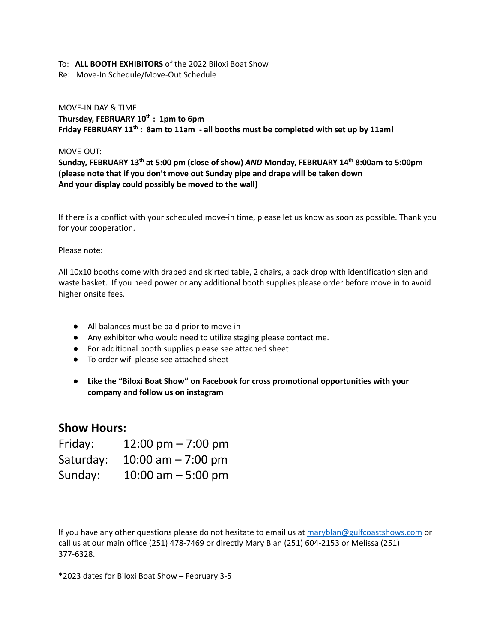#### To: **ALL BOOTH EXHIBITORS** of the 2022 Biloxi Boat Show

Re: Move-In Schedule/Move-Out Schedule

### MOVE-IN DAY & TIME: **Thursday, FEBRUARY 10 th : 1pm to 6pm Friday FEBRUARY 11 th : 8am to 11am - all booths must be completed with set up by 11am!**

#### MOVE-OUT:

**Sunday, FEBRUARY 13 th at 5:00 pm (close of show)** *AND* **Monday, FEBRUARY 14 th 8:00am to 5:00pm (please note that if you don't move out Sunday pipe and drape will be taken down And your display could possibly be moved to the wall)**

If there is a conflict with your scheduled move-in time, please let us know as soon as possible. Thank you for your cooperation.

#### Please note:

All 10x10 booths come with draped and skirted table, 2 chairs, a back drop with identification sign and waste basket. If you need power or any additional booth supplies please order before move in to avoid higher onsite fees.

- All balances must be paid prior to move-in
- Any exhibitor who would need to utilize staging please contact me.
- For additional booth supplies please see attached sheet
- To order wifi please see attached sheet
- **● Like the "Biloxi Boat Show" on Facebook for cross promotional opportunities with your company and follow us on instagram**

## **Show Hours:**

| Friday:   | 12:00 pm $- 7:00$ pm |
|-----------|----------------------|
| Saturday: | 10:00 am $- 7:00$ pm |
| Sunday:   | 10:00 am $-$ 5:00 pm |

If you have any other questions please do not hesitate to email us at [maryblan@gulfcoastshows.com](mailto:maryblan@gulfcoastshows.com) or call us at our main office (251) 478-7469 or directly Mary Blan (251) 604-2153 or Melissa (251) 377-6328.

\*2023 dates for Biloxi Boat Show – February 3-5